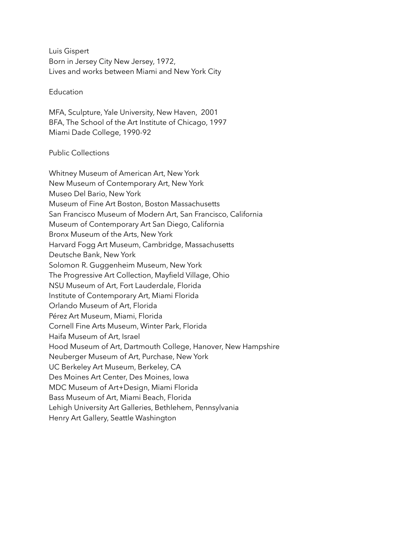Luis Gispert Born in Jersey City New Jersey, 1972, Lives and works between Miami and New York City

#### Education

MFA, Sculpture, Yale University, New Haven, 2001 BFA, The School of the Art Institute of Chicago, 1997 Miami Dade College, 1990-92

#### Public Collections

Whitney Museum of American Art, New York New Museum of Contemporary Art, New York Museo Del Bario, New York Museum of Fine Art Boston, Boston Massachusetts San Francisco Museum of Modern Art, San Francisco, California Museum of Contemporary Art San Diego, California Bronx Museum of the Arts, New York Harvard Fogg Art Museum, Cambridge, Massachusetts Deutsche Bank, New York Solomon R. Guggenheim Museum, New York The Progressive Art Collection, Mayfield Village, Ohio NSU Museum of Art, Fort Lauderdale, Florida Institute of Contemporary Art, Miami Florida Orlando Museum of Art, Florida Pérez Art Museum, Miami, Florida Cornell Fine Arts Museum, Winter Park, Florida Haifa Museum of Art, Israel Hood Museum of Art, Dartmouth College, Hanover, New Hampshire Neuberger Museum of Art, Purchase, New York UC Berkeley Art Museum, Berkeley, CA Des Moines Art Center, Des Moines, Iowa MDC Museum of Art+Design, Miami Florida Bass Museum of Art, Miami Beach, Florida Lehigh University Art Galleries, Bethlehem, Pennsylvania Henry Art Gallery, Seattle Washington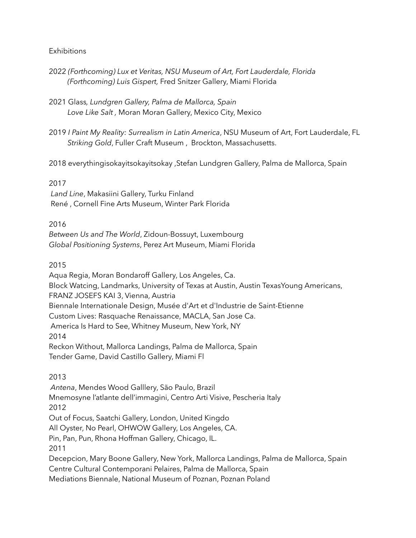#### **Exhibitions**

- 2022 *(Forthcoming) Lux et Veritas, NSU Museum of Art, Fort Lauderdale, Florida (Forthcoming) Luis Gispert,* Fred Snitzer Gallery, Miami Florida
- 2021 Glass*, Lundgren Gallery, Palma de Mallorca, Spain Love Like Salt ,* Moran Moran Gallery, Mexico City, Mexico
- 2019 *I Paint My Reality: Surrealism in Latin America*, NSU Museum of Art, Fort Lauderdale, FL *Striking Gold*, Fuller Craft Museum , Brockton, Massachusetts.
- 2018 everythingisokayitsokayitsokay ,Stefan Lundgren Gallery, Palma de Mallorca, Spain

### 2017

*Land Line*, Makasiini Gallery, Turku Finland René , Cornell Fine Arts Museum, Winter Park Florida

### 2016

*Between Us and The World*, Zidoun-Bossuyt, Luxembourg *Global Positioning Systems*, Perez Art Museum, Miami Florida

## 2015

Aqua Regia, Moran Bondaroff Gallery, Los Angeles, Ca. Block Watcing, Landmarks, University of Texas at Austin, Austin TexasYoung Americans, FRANZ JOSEFS KAI 3, Vienna, Austria Biennale Internationale Design, Musée d'Art et d'Industrie de Saint-Etienne Custom Lives: Rasquache Renaissance, MACLA, San Jose Ca. America Is Hard to See, Whitney Museum, New York, NY 2014 Reckon Without, Mallorca Landings, Palma de Mallorca, Spain Tender Game, David Castillo Gallery, Miami Fl

# 2013

 *Antena*, Mendes Wood Galllery, São Paulo, Brazil Mnemosyne l'atlante dell'immagini, Centro Arti Visive, Pescheria Italy 2012 Out of Focus, Saatchi Gallery, London, United Kingdo All Oyster, No Pearl, OHWOW Gallery, Los Angeles, CA. Pin, Pan, Pun, Rhona Hoffman Gallery, Chicago, IL. 2011 Decepcion, Mary Boone Gallery, New York, Mallorca Landings, Palma de Mallorca, Spain Centre Cultural Contemporani Pelaires, Palma de Mallorca, Spain

Mediations Biennale, National Museum of Poznan, Poznan Poland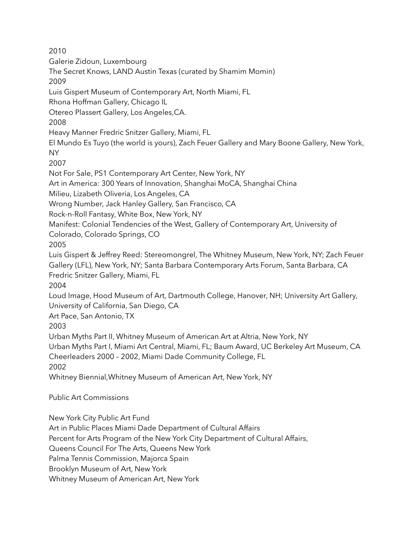2010 Galerie Zidoun, Luxembourg The Secret Knows, LAND Austin Texas (curated by Shamim Momin) 2009 Luis Gispert Museum of Contemporary Art, North Miami, FL Rhona Hoffman Gallery, Chicago IL Otereo Plassert Gallery, Los Angeles,CA. 2008 Heavy Manner Fredric Snitzer Gallery, Miami, FL El Mundo Es Tuyo (the world is yours), Zach Feuer Gallery and Mary Boone Gallery, New York, NY 2007 Not For Sale, PS1 Contemporary Art Center, New York, NY Art in America: 300 Years of Innovation, Shanghai MoCA, Shanghai China Milieu, Lizabeth Oliveria, Los Angeles, CA Wrong Number, Jack Hanley Gallery, San Francisco, CA Rock-n-Roll Fantasy, White Box, New York, NY Manifest: Colonial Tendencies of the West, Gallery of Contemporary Art, University of Colorado, Colorado Springs, CO 2005 Luis Gispert & Jeffrey Reed: Stereomongrel, The Whitney Museum, New York, NY; Zach Feuer Gallery (LFL), New York, NY; Santa Barbara Contemporary Arts Forum, Santa Barbara, CA Fredric Snitzer Gallery, Miami, FL 2004 Loud Image, Hood Museum of Art, Dartmouth College, Hanover, NH; University Art Gallery, University of California, San Diego, CA Art Pace, San Antonio, TX 2003 Urban Myths Part II, Whitney Museum of American Art at Altria, New York, NY Urban Myths Part I, Miami Art Central, Miami, FL; Baum Award, UC Berkeley Art Museum, CA Cheerleaders 2000 – 2002, Miami Dade Community College, FL 2002 Whitney Biennial,Whitney Museum of American Art, New York, NY Public Art Commissions

New York City Public Art Fund

Art in Public Places Miami Dade Department of Cultural Affairs

Percent for Arts Program of the New York City Department of Cultural Affairs,

Queens Council For The Arts, Queens New York

Palma Tennis Commission, Majorca Spain

Brooklyn Museum of Art, New York

Whitney Museum of American Art, New York